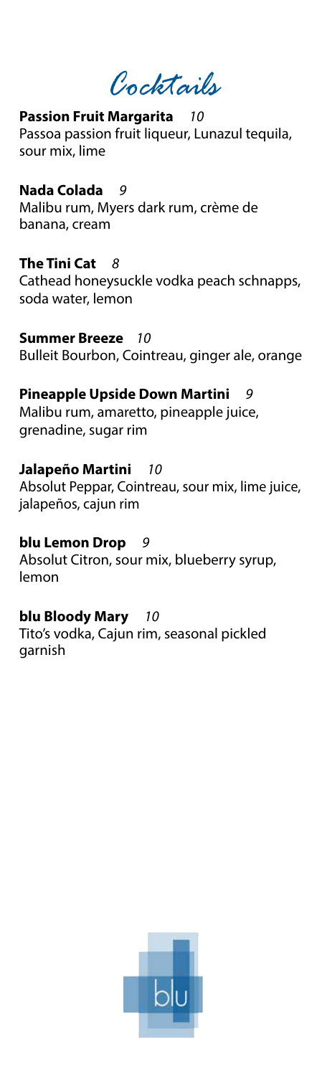*Cocktails*

#### **Passion Fruit Margarita** *10*

Passoa passion fruit liqueur, Lunazul tequila, sour mix, lime

#### **Nada Colada** *9*

Malibu rum, Myers dark rum, crème de banana, cream

#### **The Tini Cat** *8*

Cathead honeysuckle vodka peach schnapps, soda water, lemon

**Summer Breeze** *10* Bulleit Bourbon, Cointreau, ginger ale, orange

# **Pineapple Upside Down Martini** *9*

Malibu rum, amaretto, pineapple juice, grenadine, sugar rim

# **Jalapeño Martini** *10*

Absolut Peppar, Cointreau, sour mix, lime juice, jalapeños, cajun rim

# **blu Lemon Drop** *9*

Absolut Citron, sour mix, blueberry syrup, lemon

# **blu Bloody Mary** *10*

Tito's vodka, Cajun rim, seasonal pickled garnish